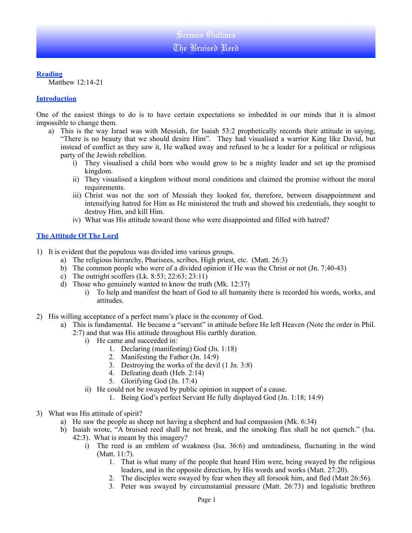#### **Reading**

Matthew 12:14-21

### **Introduction**

One of the easiest things to do is to have certain expectations so imbedded in our minds that it is almost impossible to change them.

- a) This is the way Israel was with Messiah, for Isaiah 53:2 prophetically records their attitude in saying, "There is no beauty that we should desire Him". They had visualised a warrior King like David, but instead of conflict as they saw it, He walked away and refused to be a leader for a political or religious party of the Jewish rebellion.
	- i) They visualised a child born who would grow to be a mighty leader and set up the promised kingdom.
	- ii) They visualised a kingdom without moral conditions and claimed the promise without the moral requirements.
	- iii) Christ was not the sort of Messiah they looked for, therefore, between disappointment and intensifying hatred for Him as He ministered the truth and showed his credentials, they sought to destroy Him, and kill Him.
	- iv) What was His attitude toward those who were disappointed and filled with hatred?

## **The Attitude Of The Lord**

- 1) It is evident that the populous was divided into various groups.
	- a) The religious hierarchy, Pharisees, scribes, High priest, etc. (Matt. 26:3)
	- b) The common people who were of a divided opinion if He was the Christ or not (Jn. 7:40-43)
	- c) The outright scoffers  $(Lk. 8:53; 22:63; 23:11)$
	- d) Those who genuinely wanted to know the truth (Mk. 12:37)
		- i) To help and manifest the heart of God to all humanity there is recorded his words, works, and attitudes.
- 2) His willing acceptance of a perfect mans's place in the economy of God.
	- a) This is fundamental. He became a "servant" in attitude before He left Heaven (Note the order in Phil.
		- 2:7) and that was His attitude throughout His earthly duration.
			- i) He came and succeeded in:
				- 1. Declaring (manifesting) God (Jn. 1:18)
				- 2. Manifesting the Father (Jn. 14:9)
				- 3. Destroying the works of the devil (1 Jn. 3:8)
				- 4. Defeating death (Heb. 2:14)
				- 5. Glorifying God (Jn. 17:4)
			- ii) He could not be swayed by public opinion in support of a cause.
				- 1. Being God's perfect Servant He fully displayed God (Jn. 1:18; 14:9)
- 3) What was His attitude of spirit?
	- a) He saw the people as sheep not having a shepherd and had compassion (Mk. 6:34)
	- b) Isaiah wrote, "A bruised reed shall he not break, and the smoking flax shall he not quench." (Isa. 42:3). What is meant by this imagery?
		- i) The reed is an emblem of weakness (Isa. 36:6) and unsteadiness, fluctuating in the wind (Matt. 11:7).
			- 1. That is what many of the people that heard Him were, being swayed by the religious leaders, and in the opposite direction, by His words and works (Matt. 27:20).
			- 2. The disciples were swayed by fear when they all forsook him, and fled (Matt 26:56).
			- 3. Peter was swayed by circumstantial pressure (Matt. 26:73) and legalistic brethren